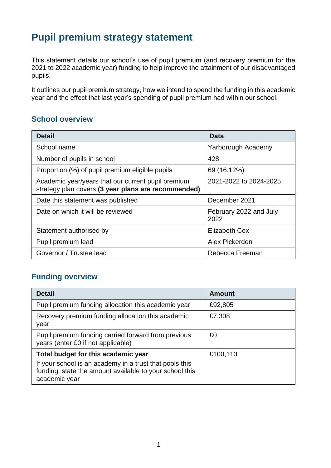# **Pupil premium strategy statement**

This statement details our school's use of pupil premium (and recovery premium for the 2021 to 2022 academic year) funding to help improve the attainment of our disadvantaged pupils.

It outlines our pupil premium strategy, how we intend to spend the funding in this academic year and the effect that last year's spending of pupil premium had within our school.

## **School overview**

| <b>Detail</b>                                                                                             | Data                           |
|-----------------------------------------------------------------------------------------------------------|--------------------------------|
| School name                                                                                               | Yarborough Academy             |
| Number of pupils in school                                                                                | 428                            |
| Proportion (%) of pupil premium eligible pupils                                                           | 69 (16.12%)                    |
| Academic year/years that our current pupil premium<br>strategy plan covers (3 year plans are recommended) | 2021-2022 to 2024-2025         |
| Date this statement was published                                                                         | December 2021                  |
| Date on which it will be reviewed                                                                         | February 2022 and July<br>2022 |
| Statement authorised by                                                                                   | Elizabeth Cox                  |
| Pupil premium lead                                                                                        | Alex Pickerden                 |
| Governor / Trustee lead                                                                                   | Rebecca Freeman                |

## **Funding overview**

| <b>Detail</b>                                                                                                                       | <b>Amount</b> |
|-------------------------------------------------------------------------------------------------------------------------------------|---------------|
| Pupil premium funding allocation this academic year                                                                                 | £92,805       |
| Recovery premium funding allocation this academic<br>year                                                                           | £7,308        |
| Pupil premium funding carried forward from previous<br>years (enter £0 if not applicable)                                           | £0            |
| Total budget for this academic year                                                                                                 | £100,113      |
| If your school is an academy in a trust that pools this<br>funding, state the amount available to your school this<br>academic year |               |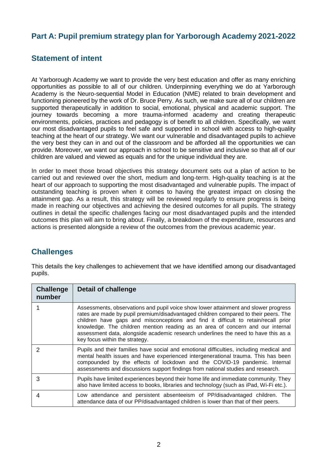## **Part A: Pupil premium strategy plan for Yarborough Academy 2021-2022**

## **Statement of intent**

At Yarborough Academy we want to provide the very best education and offer as many enriching opportunities as possible to all of our children. Underpinning everything we do at Yarborough Academy is the Neuro-sequential Model in Education (NME) related to brain development and functioning pioneered by the work of Dr. Bruce Perry. As such, we make sure all of our children are supported therapeutically in addition to social, emotional, physical and academic support. The journey towards becoming a more trauma-informed academy and creating therapeutic environments, policies, practices and pedagogy is of benefit to all children. Specifically, we want our most disadvantaged pupils to feel safe and supported in school with access to high-quality teaching at the heart of our strategy. We want our vulnerable and disadvantaged pupils to achieve the very best they can in and out of the classroom and be afforded all the opportunities we can provide. Moreover, we want our approach in school to be sensitive and inclusive so that all of our children are valued and viewed as equals and for the unique individual they are.

In order to meet those broad objectives this strategy document sets out a plan of action to be carried out and reviewed over the short, medium and long-term. High-quality teaching is at the heart of our approach to supporting the most disadvantaged and vulnerable pupils. The impact of outstanding teaching is proven when it comes to having the greatest impact on closing the attainment gap. As a result, this strategy will be reviewed regularly to ensure progress is being made in reaching our objectives and achieving the desired outcomes for all pupils. The strategy outlines in detail the specific challenges facing our most disadvantaged pupils and the intended outcomes this plan will aim to bring about. Finally, a breakdown of the expenditure, resources and actions is presented alongside a review of the outcomes from the previous academic year.

## **Challenges**

This details the key challenges to achievement that we have identified among our disadvantaged pupils.

| <b>Challenge</b><br>number | <b>Detail of challenge</b>                                                                                                                                                                                                                                                                                                                                                                                                                                                 |
|----------------------------|----------------------------------------------------------------------------------------------------------------------------------------------------------------------------------------------------------------------------------------------------------------------------------------------------------------------------------------------------------------------------------------------------------------------------------------------------------------------------|
|                            | Assessments, observations and pupil voice show lower attainment and slower progress<br>rates are made by pupil premium/disadvantaged children compared to their peers. The<br>children have gaps and misconceptions and find it difficult to retain/recall prior<br>knowledge. The children mention reading as an area of concern and our internal<br>assessment data, alongside academic research underlines the need to have this as a<br>key focus within the strategy. |
| 2                          | Pupils and their families have social and emotional difficulties, including medical and<br>mental health issues and have experienced intergenerational trauma. This has been<br>compounded by the effects of lockdown and the COVID-19 pandemic. Internal<br>assessments and discussions support findings from national studies and research.                                                                                                                              |
| 3                          | Pupils have limited experiences beyond their home life and immediate community. They<br>also have limited access to books, libraries and technology (such as iPad, Wi-Fi etc.).                                                                                                                                                                                                                                                                                            |
| 4                          | Low attendance and persistent absenteeism of PP/disadvantaged children. The<br>attendance data of our PP/disadvantaged children is lower than that of their peers.                                                                                                                                                                                                                                                                                                         |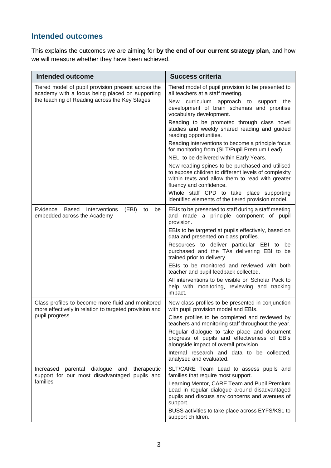## **Intended outcomes**

This explains the outcomes we are aiming for **by the end of our current strategy plan**, and how we will measure whether they have been achieved.

| <b>Intended outcome</b>                                                                                     | <b>Success criteria</b>                                                                                                                                                                |
|-------------------------------------------------------------------------------------------------------------|----------------------------------------------------------------------------------------------------------------------------------------------------------------------------------------|
| Tiered model of pupil provision present across the<br>academy with a focus being placed on supporting       | Tiered model of pupil provision to be presented to<br>all teachers at a staff meeting.                                                                                                 |
| the teaching of Reading across the Key Stages                                                               | New curriculum approach to support the<br>development of brain schemas and prioritise<br>vocabulary development.                                                                       |
|                                                                                                             | Reading to be promoted through class novel<br>studies and weekly shared reading and guided<br>reading opportunities.                                                                   |
|                                                                                                             | Reading interventions to become a principle focus<br>for monitoring from (SLT/Pupil Premium Lead).                                                                                     |
|                                                                                                             | NELI to be delivered within Early Years.                                                                                                                                               |
|                                                                                                             | New reading spines to be purchased and utilised<br>to expose children to different levels of complexity<br>within texts and allow them to read with greater<br>fluency and confidence. |
|                                                                                                             | Whole staff CPD to take place supporting<br>identified elements of the tiered provision model.                                                                                         |
| (EBI)<br>Evidence<br>Based Interventions<br>be<br>to<br>embedded across the Academy                         | EBIs to be presented to staff during a staff meeting<br>and made a principle component of pupil<br>provision.                                                                          |
|                                                                                                             | EBIs to be targeted at pupils effectively, based on<br>data and presented on class profiles.                                                                                           |
|                                                                                                             | Resources to deliver particular EBI to<br>be<br>purchased and the TAs delivering EBI to be<br>trained prior to delivery.                                                               |
|                                                                                                             | EBIs to be monitored and reviewed with both<br>teacher and pupil feedback collected.                                                                                                   |
|                                                                                                             | All interventions to be visible on Scholar Pack to<br>help with monitoring, reviewing and tracking<br>impact.                                                                          |
| Class profiles to become more fluid and monitored<br>more effectively in relation to targeted provision and | New class profiles to be presented in conjunction<br>with pupil provision model and EBIs.                                                                                              |
| pupil progress                                                                                              | Class profiles to be completed and reviewed by<br>teachers and monitoring staff throughout the year.                                                                                   |
|                                                                                                             | Regular dialogue to take place and document<br>progress of pupils and effectiveness of EBIs<br>alongside impact of overall provision.                                                  |
|                                                                                                             | Internal research and data to be collected,<br>analysed and evaluated.                                                                                                                 |
| Increased<br>parental dialogue<br>and<br>therapeutic<br>support for our most disadvantaged pupils and       | SLT/CARE Team Lead to assess pupils and<br>families that require most support.                                                                                                         |
| families                                                                                                    | Learning Mentor, CARE Team and Pupil Premium<br>Lead in regular dialogue around disadvantaged<br>pupils and discuss any concerns and avenues of<br>support.                            |
|                                                                                                             | BUSS activities to take place across EYFS/KS1 to<br>support children.                                                                                                                  |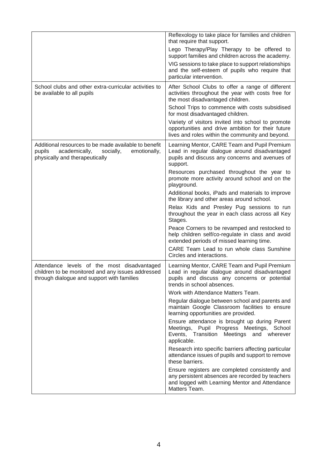|                                                                                                                                                | Reflexology to take place for families and children<br>that require that support.<br>Lego Therapy/Play Therapy to be offered to<br>support families and children across the academy.          |
|------------------------------------------------------------------------------------------------------------------------------------------------|-----------------------------------------------------------------------------------------------------------------------------------------------------------------------------------------------|
|                                                                                                                                                | VIG sessions to take place to support relationships<br>and the self-esteem of pupils who require that<br>particular intervention.                                                             |
| School clubs and other extra-curricular activities to<br>be available to all pupils                                                            | After School Clubs to offer a range of different<br>activities throughout the year with costs free for<br>the most disadvantaged children.                                                    |
|                                                                                                                                                | School Trips to commence with costs subsidised<br>for most disadvantaged children.                                                                                                            |
|                                                                                                                                                | Variety of visitors invited into school to promote<br>opportunities and drive ambition for their future<br>lives and roles within the community and beyond.                                   |
| Additional resources to be made available to benefit<br>pupils<br>academically,<br>socially,<br>emotionally,<br>physically and therapeutically | Learning Mentor, CARE Team and Pupil Premium<br>Lead in regular dialogue around disadvantaged<br>pupils and discuss any concerns and avenues of<br>support.                                   |
|                                                                                                                                                | Resources purchased throughout the year to<br>promote more activity around school and on the<br>playground.                                                                                   |
|                                                                                                                                                | Additional books, iPads and materials to improve<br>the library and other areas around school.                                                                                                |
|                                                                                                                                                | Relax Kids and Presley Pug sessions to run<br>throughout the year in each class across all Key<br>Stages.                                                                                     |
|                                                                                                                                                | Peace Corners to be revamped and restocked to<br>help children self/co-regulate in class and avoid<br>extended periods of missed learning time.<br>CARE Team Lead to run whole class Sunshine |
|                                                                                                                                                | Circles and interactions.                                                                                                                                                                     |
| Attendance levels of the most disadvantaged<br>children to be monitored and any issues addressed<br>through dialogue and support with families | Learning Mentor, CARE Team and Pupil Premium<br>Lead in regular dialogue around disadvantaged<br>pupils and discuss any concerns or potential<br>trends in school absences.                   |
|                                                                                                                                                | Work with Attendance Matters Team.                                                                                                                                                            |
|                                                                                                                                                | Regular dialogue between school and parents and<br>maintain Google Classroom facilities to ensure<br>learning opportunities are provided.                                                     |
|                                                                                                                                                | Ensure attendance is brought up during Parent<br>Meetings, Pupil Progress Meetings,<br>School<br>Events, Transition<br>Meetings and wherever<br>applicable.                                   |
|                                                                                                                                                | Research into specific barriers affecting particular<br>attendance issues of pupils and support to remove<br>these barriers.                                                                  |
|                                                                                                                                                | Ensure registers are completed consistently and<br>any persistent absences are recorded by teachers<br>and logged with Learning Mentor and Attendance<br>Matters Team.                        |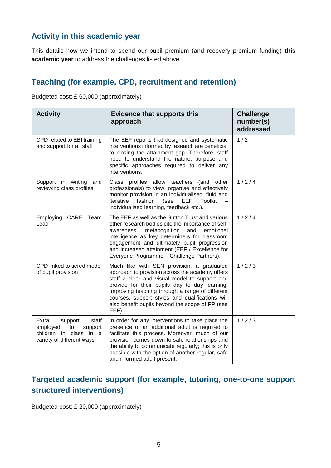## **Activity in this academic year**

This details how we intend to spend our pupil premium (and recovery premium funding) **this academic year** to address the challenges listed above.

# **Teaching (for example, CPD, recruitment and retention)**

Budgeted cost: £ 60,000 (approximately)

| <b>Activity</b>                                                                                               | <b>Evidence that supports this</b><br>approach                                                                                                                                                                                                                                                                                                                   | <b>Challenge</b><br>number(s)<br>addressed |
|---------------------------------------------------------------------------------------------------------------|------------------------------------------------------------------------------------------------------------------------------------------------------------------------------------------------------------------------------------------------------------------------------------------------------------------------------------------------------------------|--------------------------------------------|
| CPD related to EBI training<br>and support for all staff                                                      | The EEF reports that designed and systematic<br>interventions informed by research are beneficial<br>to closing the attainment gap. Therefore, staff<br>need to understand the nature, purpose and<br>specific approaches required to deliver any<br>interventions.                                                                                              | 1/2                                        |
| Support in writing and<br>reviewing class profiles                                                            | Class profiles allow teachers (and other<br>professionals) to view, organise and effectively<br>monitor provision in an individualised, fluid and<br>iterative<br>fashion<br>(see<br>EEF<br>Toolkit<br>individualised learning, feedback etc.).                                                                                                                  | 1/2/4                                      |
| Employing<br>CARE Team<br>Lead                                                                                | The EEF as well as the Sutton Trust and various<br>other research bodies cite the importance of self-<br>metacognition<br>and<br>emotional<br>awareness,<br>intelligence as key determiners for classroom<br>engagement and ultimately pupil progression<br>and increased attainment (EEF / Excellence for<br>Everyone Programme - Challenge Partners).          | 1/2/4                                      |
| CPD linked to tiered model<br>of pupil provision                                                              | Much like with SEN provision, a graduated<br>approach to provision across the academy offers<br>staff a clear and visual model to support and<br>provide for their pupils day to day learning.<br>Improving teaching through a range of different<br>courses, support styles and qualifications will<br>also benefit pupils beyond the scope of PP (see<br>EEF). | 1/2/3                                      |
| Extra<br>support<br>staff<br>employed<br>to<br>support<br>children in class in a<br>variety of different ways | In order for any interventions to take place the<br>presence of an additional adult is required to<br>facilitate this process. Moreover, much of our<br>provision comes down to safe relationships and<br>the ability to communicate regularly; this is only<br>possible with the option of another regular, safe<br>and informed adult present.                 | 1/2/3                                      |

# **Targeted academic support (for example, tutoring, one-to-one support structured interventions)**

Budgeted cost: £ 20,000 (approximately)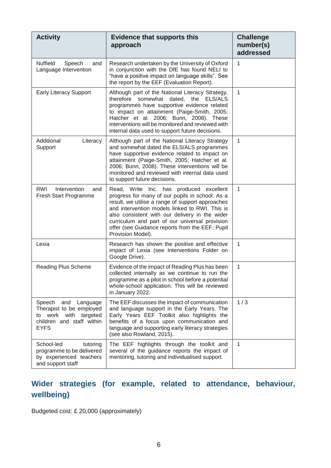| <b>Activity</b>                                                                                                            | <b>Evidence that supports this</b><br>approach                                                                                                                                                                                                                                                                                                                               | <b>Challenge</b><br>number(s)<br>addressed |
|----------------------------------------------------------------------------------------------------------------------------|------------------------------------------------------------------------------------------------------------------------------------------------------------------------------------------------------------------------------------------------------------------------------------------------------------------------------------------------------------------------------|--------------------------------------------|
| <b>Nuffield</b><br>Speech<br>and<br>Language Intervention                                                                  | Research undertaken by the University of Oxford<br>in conjunction with the DfE has found NELI to<br>"have a positive impact on language skills". See<br>the report by the EEF (Evaluation Report).                                                                                                                                                                           | 1                                          |
| <b>Early Literacy Support</b>                                                                                              | Although part of the National Literacy Strategy,<br>therefore somewhat dated, the ELS/ALS<br>programmes have supportive evidence related<br>to impact on attainment (Paige-Smith, 2005;<br>Hatcher et al. 2006; Bunn, 2008). These<br>interventions will be monitored and reviewed with<br>internal data used to support future decisions.                                   | 1                                          |
| Additional<br>Literacy<br>Support                                                                                          | Although part of the National Literacy Strategy<br>and somewhat dated the ELS/ALS programmes<br>have supportive evidence related to impact on<br>attainment (Paige-Smith, 2005; Hatcher et al.<br>2006; Bunn, 2008). These interventions will be<br>monitored and reviewed with internal data used<br>to support future decisions.                                           | 1                                          |
| Intervention<br>RWI<br>and<br>Fresh Start Programme                                                                        | Read, Write Inc. has produced excellent<br>progress for many of our pupils in school. As a<br>result, we utilise a range of support approaches<br>and intervention models linked to RWI. This is<br>also consistent with our delivery in the wider<br>curriculum and part of our universal provision<br>offer (see Guidance reports from the EEF; Pupil<br>Provision Model). | $\mathbf{1}$                               |
| Lexia                                                                                                                      | Research has shown the positive and effective<br>impact of Lexia (see Interventions Folder on<br>Google Drive).                                                                                                                                                                                                                                                              | 1                                          |
| Reading Plus Scheme                                                                                                        | Evidence of the impact of Reading Plus has been<br>collected internally as we continue to run the<br>programme as a pilot in school before a potential<br>whole-school application. This will be reviewed<br>in January 2022.                                                                                                                                                | 1                                          |
| Speech<br>and<br>Language<br>Therapist to be employed<br>to work with targeted<br>children and staff within<br><b>EYFS</b> | The EEF discusses the impact of communication<br>and language support in the Early Years. The<br>Early Years EEF Toolkit also highlights the<br>benefits of a focus upon communication and<br>language and supporting early literacy strategies<br>(see also Rowland, 2015).                                                                                                 | 1/3                                        |
| School-led<br>tutoring<br>programme to be delivered<br>by experienced teachers<br>and support staff                        | The EEF highlights through the toolkit and<br>several of the guidance reports the impact of<br>mentoring, tutoring and individualised support.                                                                                                                                                                                                                               | $\mathbf{1}$                               |

# **Wider strategies (for example, related to attendance, behaviour, wellbeing)**

Budgeted cost: £ 20,000 (approximately)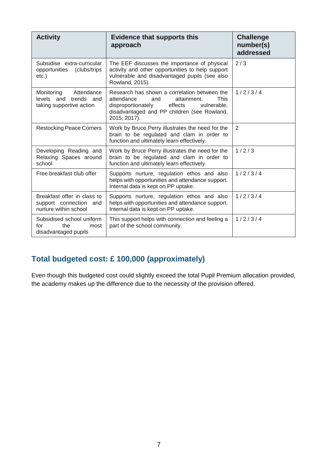| <b>Activity</b>                                                                | <b>Evidence that supports this</b><br>approach                                                                                                                                                          | <b>Challenge</b><br>number(s)<br>addressed |
|--------------------------------------------------------------------------------|---------------------------------------------------------------------------------------------------------------------------------------------------------------------------------------------------------|--------------------------------------------|
| Subsidise extra-curricular<br>opportunities<br>(clubs/trips)<br>$etc.$ )       | The EEF discusses the importance of physical<br>activity and other opportunities to help support<br>vulnerable and disadvantaged pupils (see also<br>Rowland, 2015).                                    | 2/3                                        |
| Monitoring<br>Attendance<br>levels and trends and<br>taking supportive action  | Research has shown a correlation between the<br>attendance<br>This<br>and<br>attainment.<br>effects<br>disproportionately<br>vulnerable.<br>disadvantaged and PP children (see Rowland,<br>2015; 2017). | 1/2/3/4                                    |
| <b>Restocking Peace Corners</b>                                                | Work by Bruce Perry illustrates the need for the<br>brain to be regulated and clam in order to<br>function and ultimately learn effectively.                                                            | 2                                          |
| Developing Reading and<br>Relaxing Spaces around<br>school                     | Work by Bruce Perry illustrates the need for the<br>brain to be regulated and clam in order to<br>function and ultimately learn effectively.                                                            | 1/2/3                                      |
| Free breakfast club offer                                                      | Supports nurture, regulation ethos and also<br>helps with opportunities and attendance support.<br>Internal data is kept on PP uptake.                                                                  | 1/2/3/4                                    |
| Breakfast offer in class to<br>support connection and<br>nurture within school | Supports nurture, regulation ethos and also<br>helps with opportunities and attendance support.<br>Internal data is kept on PP uptake.                                                                  | 1/2/3/4                                    |
| Subsidised school uniform<br>the<br>for<br>most<br>disadvantaged pupils        | This support helps with connection and feeling a<br>part of the school community.                                                                                                                       | 1/2/3/4                                    |

## **Total budgeted cost: £ 100,000 (approximately)**

Even though this budgeted cost could slightly exceed the total Pupil Premium allocation provided, the academy makes up the difference due to the necessity of the provision offered.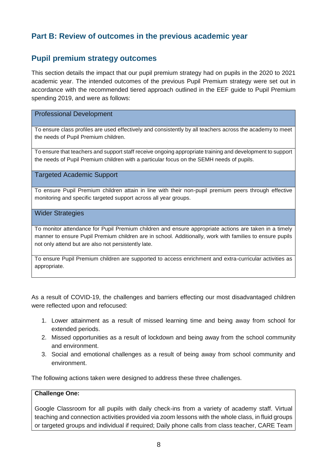## **Part B: Review of outcomes in the previous academic year**

### **Pupil premium strategy outcomes**

This section details the impact that our pupil premium strategy had on pupils in the 2020 to 2021 academic year. The intended outcomes of the previous Pupil Premium strategy were set out in accordance with the recommended tiered approach outlined in the EEF guide to Pupil Premium spending 2019, and were as follows:

### Professional Development

To ensure class profiles are used effectively and consistently by all teachers across the academy to meet the needs of Pupil Premium children.

To ensure that teachers and support staff receive ongoing appropriate training and development to support the needs of Pupil Premium children with a particular focus on the SEMH needs of pupils.

Targeted Academic Support

To ensure Pupil Premium children attain in line with their non-pupil premium peers through effective monitoring and specific targeted support across all year groups.

#### Wider Strategies

To monitor attendance for Pupil Premium children and ensure appropriate actions are taken in a timely manner to ensure Pupil Premium children are in school. Additionally, work with families to ensure pupils not only attend but are also not persistently late.

To ensure Pupil Premium children are supported to access enrichment and extra-curricular activities as appropriate.

As a result of COVID-19, the challenges and barriers effecting our most disadvantaged children were reflected upon and refocused:

- 1. Lower attainment as a result of missed learning time and being away from school for extended periods.
- 2. Missed opportunities as a result of lockdown and being away from the school community and environment.
- 3. Social and emotional challenges as a result of being away from school community and environment.

The following actions taken were designed to address these three challenges.

### **Challenge One:**

Google Classroom for all pupils with daily check-ins from a variety of academy staff. Virtual teaching and connection activities provided via zoom lessons with the whole class, in fluid groups or targeted groups and individual if required; Daily phone calls from class teacher, CARE Team